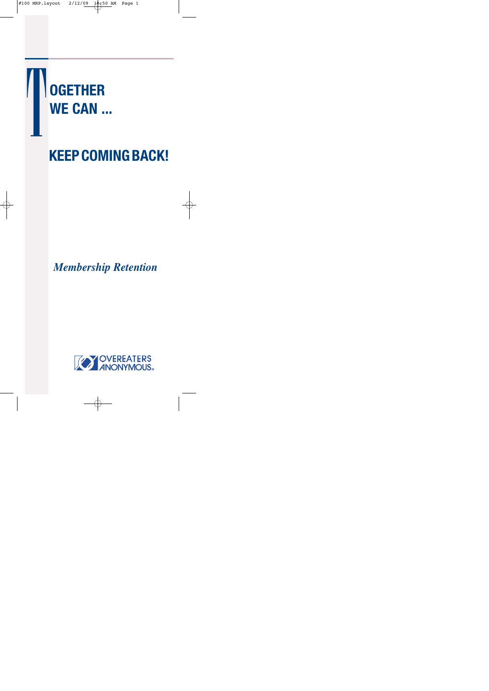

# **KEEPCOMINGBACK!**

# *Membership Retention*

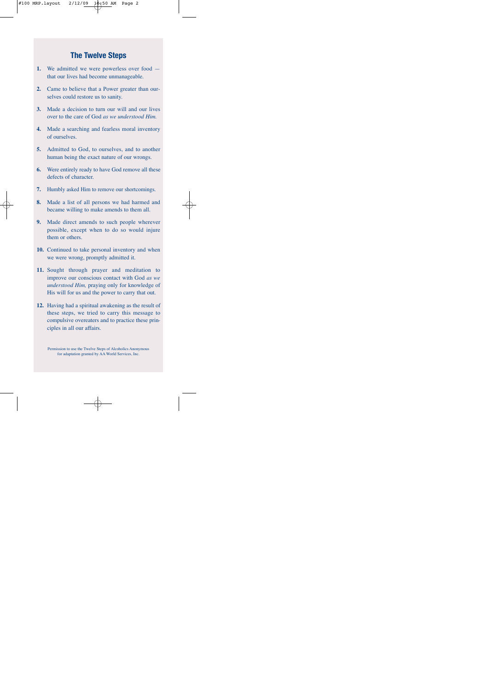### **The Twelve Steps**

- **1.** We admitted we were powerless over food that our lives had become unmanageable.
- **2.** Came to believe that a Power greater than ourselves could restore us to sanity.
- **3.** Made a decision to turn our will and our lives over to the care of God *as we understood Him.*
- **4.** Made a searching and fearless moral inventory of ourselves.
- **5.** Admitted to God, to ourselves, and to another human being the exact nature of our wrongs.
- **6.** Were entirely ready to have God remove all these defects of character.
- **7.** Humbly asked Him to remove our shortcomings.
- **8.** Made a list of all persons we had harmed and became willing to make amends to them all.
- **9.** Made direct amends to such people wherever possible, except when to do so would injure them or others.
- **10.** Continued to take personal inventory and when we were wrong, promptly admitted it.
- **11.** Sought through prayer and meditation to improve our conscious contact with God *as we understood Him,* praying only for knowledge of His will for us and the power to carry that out.
- **12.** Having had a spiritual awakening as the result of these steps, we tried to carry this message to compulsive overeaters and to practice these principles in all our affairs.

Permission to use the Twelve Steps of Alcoholics Anonymous for adaptation granted by AA World Services, Inc.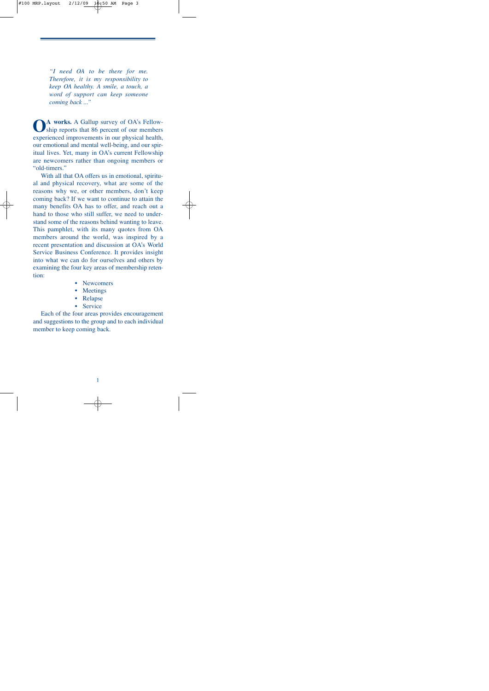*"I need OA to be there for me. Therefore, it is my responsibility to keep OA healthy. A smile, a touch, a word of support can keep someone coming back ..."*

**OA works.** <sup>A</sup> Gallup survey of OA's Fellow-ship reports that 86 percent of our members experienced improvements in our physical health, our emotional and mental well-being, and our spiritual lives. Yet, many in OA's current Fellowship are newcomers rather than ongoing members or "old-timers."

With all that OA offers us in emotional, spiritual and physical recovery, what are some of the reasons why we, or other members, don't keep coming back? If we want to continue to attain the many benefits OA has to offer, and reach out a hand to those who still suffer, we need to understand some of the reasons behind wanting to leave. This pamphlet, with its many quotes from OA members around the world, was inspired by a recent presentation and discussion at OA's World Service Business Conference. It provides insight into what we can do for ourselves and others by examining the four key areas of membership retention:

- **Newcomers**
- **Meetings**
- Relapse
- **Service**

Each of the four areas provides encouragement and suggestions to the group and to each individual member to keep coming back.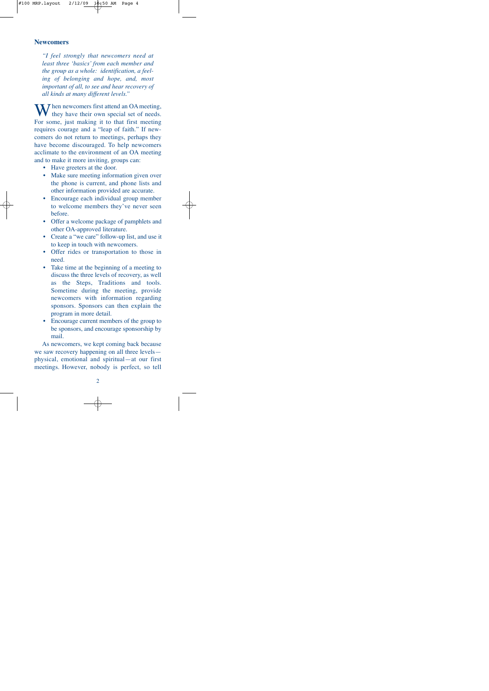#### **Newcomers**

*"I feel strongly that newcomers need at least three 'basics' from each member and the group as a whole: identification, a feeling of belonging and hope*, *and*, *most important of all, to see and hear recovery of all kinds at many different levels."*

When newcomers first attend an OA meeting,<br>they have their own special set of needs. For some, just making it to that first meeting requires courage and a "leap of faith." If newcomers do not return to meetings, perhaps they have become discouraged. To help newcomers acclimate to the environment of an OA meeting and to make it more inviting, groups can:

- Have greeters at the door.
- Make sure meeting information given over the phone is current, and phone lists and other information provided are accurate.
- Encourage each individual group member to welcome members they've never seen before.
- Offer a welcome package of pamphlets and other OA-approved literature.
- Create a "we care" follow-up list, and use it to keep in touch with newcomers.
- Offer rides or transportation to those in need.
- Take time at the beginning of a meeting to discuss the three levels of recovery, as well as the Steps, Traditions and tools. Sometime during the meeting, provide newcomers with information regarding sponsors. Sponsors can then explain the program in more detail.
- Encourage current members of the group to be sponsors, and encourage sponsorship by mail.

As newcomers, we kept coming back because we saw recovery happening on all three levels physical, emotional and spiritual—at our first meetings. However, nobody is perfect, so tell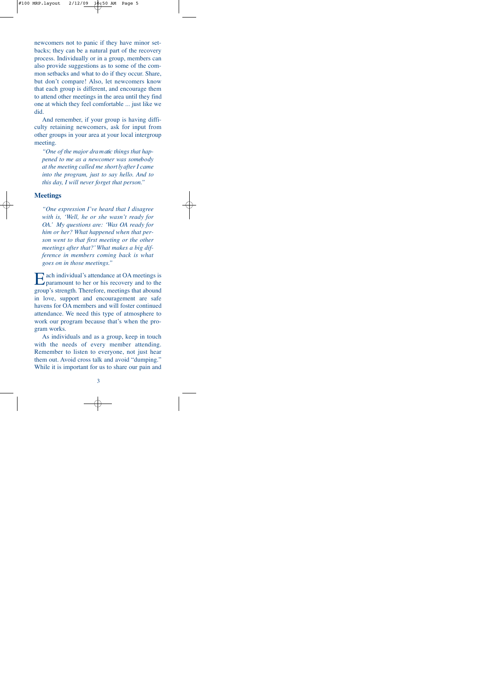newcomers not to panic if they have minor setbacks; they can be a natural part of the recovery process. Individually or in a group, members can also provide suggestions as to some of the common setbacks and what to do if they occur. Share, but don't compare! Also, let newcomers know that each group is different, and encourage them to attend other meetings in the area until they find one at which they feel comfortable ... just like we did.

And remember, if your group is having difficulty retaining newcomers, ask for input from other groups in your area at your local intergroup meeting.

*"One of the major dra m atic things that happened to me as a newcomer was someb o dy at the meeting called me short lyafter I came into the program, just to say hello. And to this day, I will never forget that person.*"

#### **Meetings**

*"One expression I've heard that I disagree with is, 'Well, he or she wasn't ready for OA.' My questions are: 'Was OA ready for him or her? What happened when that person went to that first meeting or the other meetings after that?'What makes a big difference in members coming back is what goes on in those meetings."*

Each individual's attendance at OA meetings is  $\square$  paramount to her or his recovery and to the group's strength. Therefore, meetings that abound in love, support and encouragement are safe havens for OA members and will foster continued attendance. We need this type of atmosphere to work our program because that's when the program works.

As individuals and as a group, keep in touch with the needs of every member attending. Remember to listen to everyone, not just hear them out. Avoid cross talk and avoid "dumping." While it is important for us to share our pain and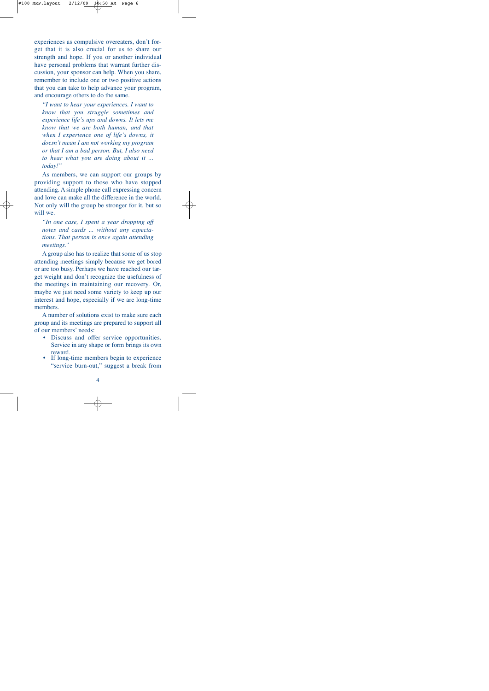experiences as compulsive overeaters, don't forget that it is also crucial for us to share our strength and hope. If you or another individual have personal problems that warrant further discussion, your sponsor can help. When you share, remember to include one or two positive actions that you can take to help advance your program, and encourage others to do the same.

*"I want to hear your experiences. I want to know that you struggle sometimes and experience life's ups and downs. It lets me know that we are both human, and that when I experience one of life's downs, it doesn't mean I am not working my program or that I am a bad person. But, I also need to hear what you are doing about it ... today!"*

As members, we can support our groups by providing support to those who have stopped attending. A simple phone call expressing concern and love can make all the difference in the world. Not only will the group be stronger for it, but so will we.

*"In one case, I spent a year dropping off notes and cards ... without any expectations. That person is once again attending meetings."*

A group also has to realize that some of us stop attending meetings simply because we get bored or are too busy. Perhaps we have reached our target weight and don't recognize the usefulness of the meetings in maintaining our recovery. Or, maybe we just need some variety to keep up our interest and hope, especially if we are long-time members.

A number of solutions exist to make sure each group and its meetings are prepared to support all of our members' needs:

- Discuss and offer service opportunities. Service in any shape or form brings its own reward.<br>If long-time members begin to experience
- "service burn-out," suggest a break from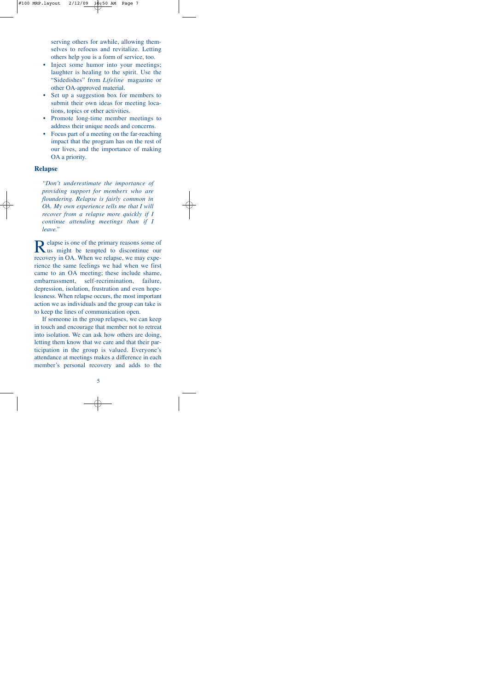serving others for awhile, allowing themselves to refocus and revitalize. Letting others help you is a form of service, too.

- Inject some humor into your meetings; laughter is healing to the spirit. Use the "Sidedishes" from *Lifeline* magazine or other OA-approved material.
- Set up a suggestion box for members to submit their own ideas for meeting locations, topics or other activities.
- Promote long-time member meetings to address their unique needs and concerns.
- Focus part of a meeting on the far-reaching impact that the program has on the rest of our lives, and the importance of making OA a priority.

#### **Relapse**

*"Don't underestimate the importance of providing support for members who are floundering. Relapse is fairly common in OA. My own experience tells me that I will recover from a relapse more quickly if I c o n t i nue attending meetings than if I leave."*

Relapse is one of the primary reasons some of<br>
Rus might be tempted to discontinue our recovery in OA. When we relapse, we may experience the same feelings we had when we first came to an OA meeting; these include shame, embarrassment, self-recrimination, failure, depression, isolation, frustration and even hopelessness. When relapse occurs, the most important action we as individuals and the group can take is to keep the lines of communication open.

If someone in the group relapses, we can keep in touch and encourage that member not to retreat into isolation. We can ask how others are doing, letting them know that we care and that their participation in the group is valued. Everyone's attendance at meetings makes a difference in each member's personal recovery and adds to the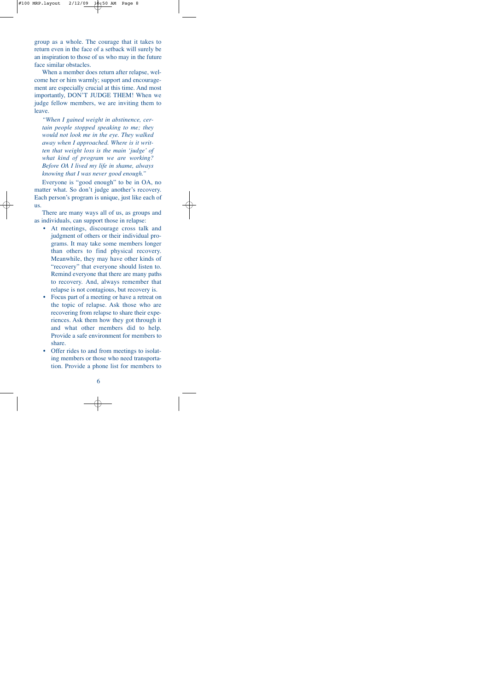group as a whole. The courage that it takes to return even in the face of a setback will surely be an inspiration to those of us who may in the future face similar obstacles.

When a member does return after relapse, welcome her or him warmly; support and encouragement are especially crucial at this time. And most importantly, DON'T JUDGE THEM! When we judge fellow members, we are inviting them to leave.

*"When I gained weight in abstinence, certain people stopped speaking to me; they would not look me in the eye. They walked away when I approached. Where is it written that weight loss is the main 'judge' of what kind of program we are working? Before OA I lived my life in shame, always knowing that I was never good enough."*

Everyone is "good enough" to be in OA, no matter what. So don't judge another's recovery. Each person's program is unique, just like each of us.

There are many ways all of us, as groups and as individuals, can support those in relapse:

- At meetings, discourage cross talk and judgment of others or their individual programs. It may take some members longer than others to find physical recovery. Meanwhile, they may have other kinds of "recovery" that everyone should listen to. Remind everyone that there are many paths to recovery. And, always remember that relapse is not contagious, but recovery is.
- Focus part of a meeting or have a retreat on the topic of relapse. Ask those who are recovering from relapse to share their experiences. Ask them how they got through it and what other members did to help. Provide a safe environment for members to share.
- Offer rides to and from meetings to isolating members or those who need transportation. Provide a phone list for members to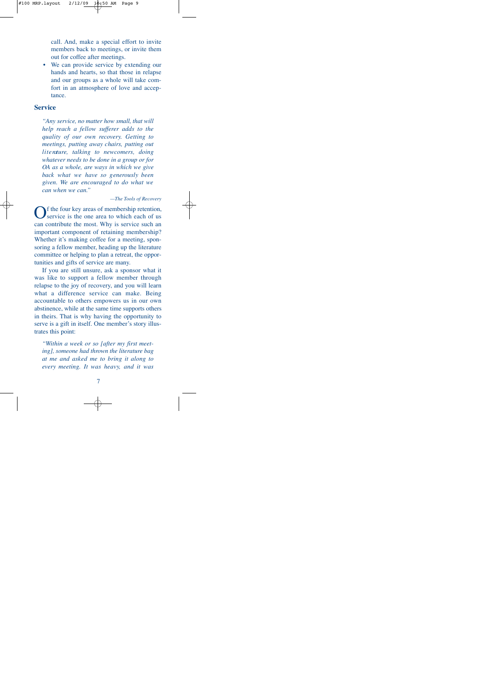call. And, make a special effort to invite members back to meetings, or invite them out for coffee after meetings.

We can provide service by extending our hands and hearts, so that those in relapse and our groups as a whole will take comfort in an atmosphere of love and acceptance.

#### **Service**

*"Any service, no matter how small, that will help reach a fellow sufferer adds to the quality of our own recovery. Getting to meetings, putting away chairs, putting out literature, talking to new comers, doing whatever needs to be done in a group or for OA as a whole, are ways in which we give back what we have so generously been given. We are encouraged to do what we can when we can."*

#### *—The Tools of Recovery*

If the four key areas of membership retention, service is the one area to which each of us can contribute the most. Why is service such an important component of retaining membership? Whether it's making coffee for a meeting, sponsoring a fellow member, heading up the literature committee or helping to plan a retreat, the opportunities and gifts of service are many.

If you are still unsure, ask a sponsor what it was like to support a fellow member through relapse to the joy of recovery, and you will learn what a difference service can make. Being accountable to others empowers us in our own abstinence, while at the same time supports others in theirs. That is why having the opportunity to serve is a gift in itself. One member's story illustrates this point:

*"Within a week or so [after my first meeting], someone had thrown the literature bag at me and asked me to bring it along to every meeting. It was heavy, and it was*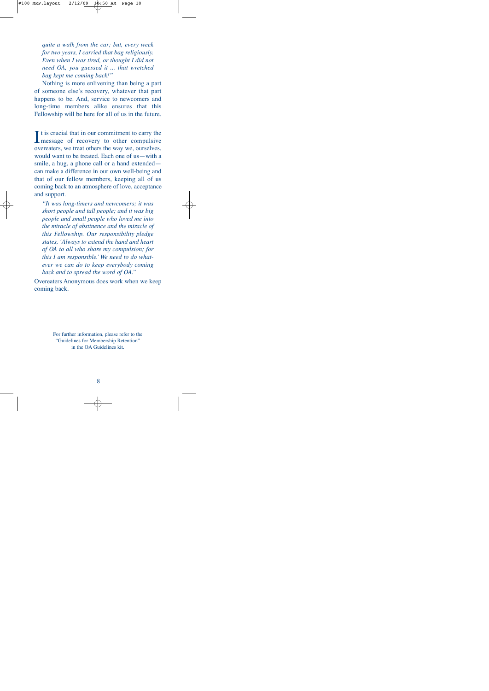*quite a walk from the car; but, every week for two years, I carried that bag religiously. Even when I was tired, or thought I did not need OA, you guessed it ... that wretched bag kept me coming back!"*

Nothing is more enlivening than being a part of someone else's recovery, whatever that part happens to be. And, service to newcomers and long-time members alike ensures that this Fellowship will be here for all of us in the future.

It is crucial that in our commitment to carry the<br>message of recovery to other compulsive message of recovery to other compulsive overeaters, we treat others the way we, ourselves, would want to be treated. Each one of us—with a smile, a hug, a phone call or a hand extended can make a difference in our own well-being and that of our fellow members, keeping all of us coming back to an atmosphere of love, acceptance and support.

*"It was long-timers and newcomers; it was short people and tall people; and it was big people and small people who loved me into the miracle of abstinence and the miracle of this Fellowship. Our responsibility pledge states, 'Always to extend the hand and heart of OA to all who share my compulsion; for this I am responsible.' We need to do whatever we can do to keep everybody coming back and to spread the word of OA."*

Overeaters Anonymous does work when we keep coming back.

> For further information, please refer to the "Guidelines for Membership Retention" in the OA Guidelines kit.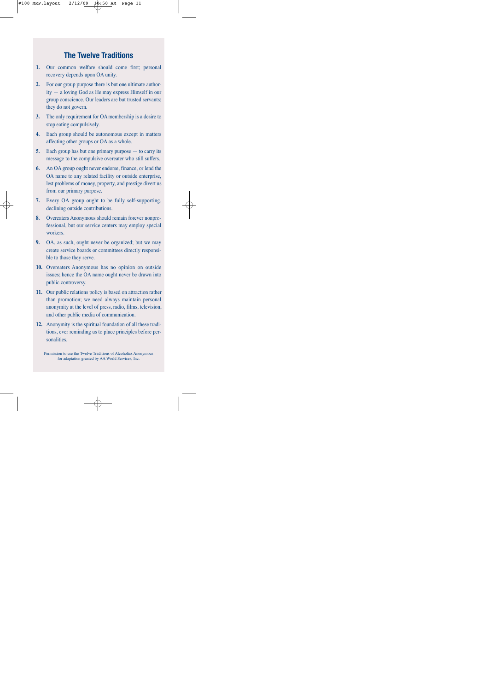## **The Twelve Traditions**

- **1.** Our common welfare should come first; personal recovery depends upon OA unity.
- **2.** For our group purpose there is but one ultimate authority — a loving God as He may express Himself in our group conscience. Our leaders are but trusted servants; they do not govern.
- **3.** The only requirement for OAmembership is a desire to stop eating compulsively.
- **4.** Each group should be autonomous except in matters affecting other groups or OA as a whole.
- **5.** Each group has but one primary purpose to carry its message to the compulsive overeater who still suffers.
- **6.** An OA group ought never endorse, finance, or lend the OA name to any related facility or outside enterprise, lest problems of money, property, and prestige divert us from our primary purpose.
- **7.** Every OA group ought to be fully self-supporting, declining outside contributions.
- **8.** Overeaters Anonymous should remain forever nonprofessional, but our service centers may employ special workers.
- **9.** OA, as such, ought never be organized; but we may create service boards or committees directly responsible to those they serve.
- **10.** Overeaters Anonymous has no opinion on outside issues; hence the OA name ought never be drawn into public controversy.
- **11.** Our public relations policy is based on attraction rather than promotion; we need always maintain personal anonymity at the level of press, radio, films, television, and other public media of communication.
- **12.** Anonymity is the spiritual foundation of all these traditions, ever reminding us to place principles before personalities.

Permission to use the Twelve Traditions of Alcoholics Anonymous for adaptation granted by AA World Services, Inc.